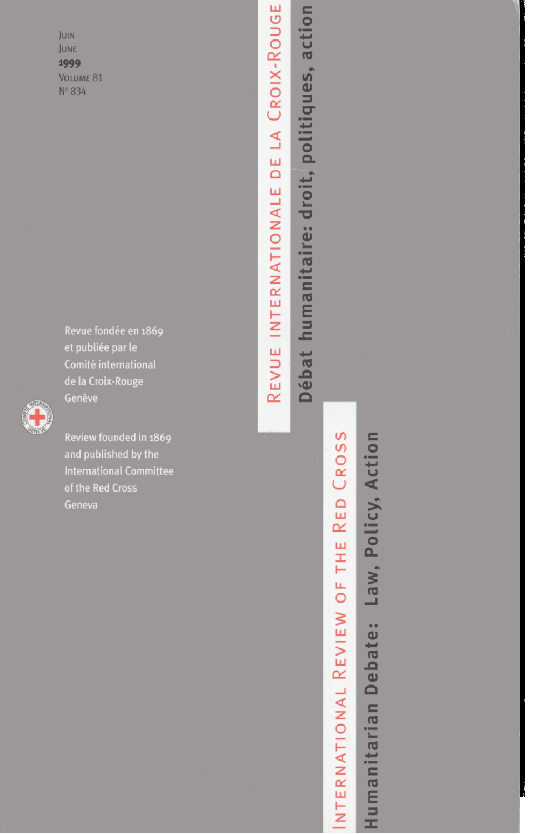JUIN JUNE 1999 VOLUME 81 Nº 834

> Revue fondée en 1869 et publiée par le Comité international de la Croix-Rouge



Review founded in 1869 and published by the **International Committee** of the Red Cross Geneva

REVUE INTERNATIONALE DE LA CROIX-ROUGE humanitaire: droit, politiques, action **Débat** 

# CROSS RED<sup>1</sup> THE INTERNATIONAL REVIEW OF

Law, Policy, Action Humanitarian Debate: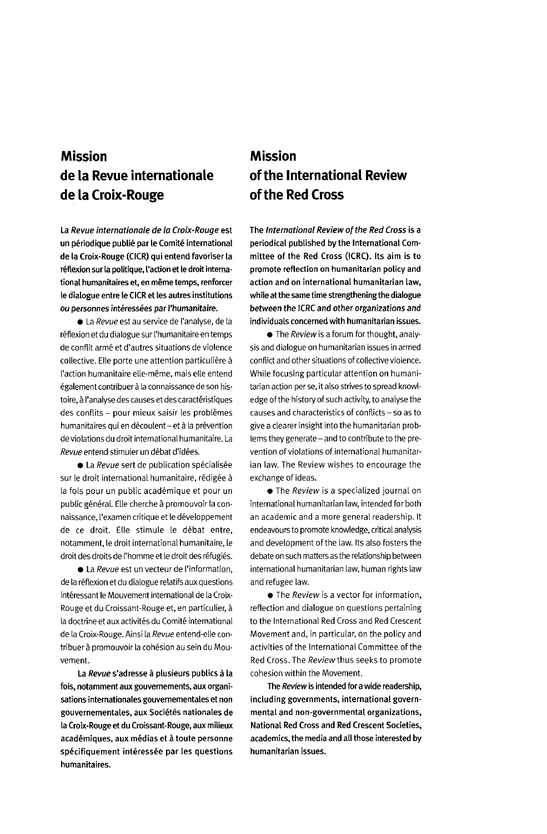## **Mission de la Revue internationale de la Croix-Rouge**

**La Revue internationale de la Croix-Rouge est un periodique publie par le Comite international de la Croix-Rouge (CICR) qui entend favoriser la reflexion sur la politique, I'action et le droit international humanitaires et, en meme temps, renforcer le dialogue entre le CICR et les autres institutions ou personnes interessees par I'humanitaire.**

• La Revue est au service de I'analyse, de la réflexion et du dialogue sur l'humanitaire en temps de conflit arme et d'autres situations de violence collective. Elle porte une attention particuliere a I'action humanitaire elle-meme, mais elle entend également contribuer à la connaissance de son histoire, à l'analyse des causes et des caractéristiques des conflits - pour mieux saisir les problemes humanitaires qui en découlent - et à la prévention de violations du droit international humanitaire. La Revue entend stimuler un debat d'idees.

• La Revue sert de publication spécialisée sur le droit international humanitaire, rédigée à la fois pour un public académique et pour un public général. Elle cherche à promouvoir la connaissance, I'examen critique et le developpement de ce droit. Elle stimule le debat entre, notamment, le droit international humanitaire, le droit des droits de l'homme et le droit des réfugiés.

• La Revue est un vecteur de I'information, de la reflexion et du dialogue relatifs auxquestions intéressant le Mouvement international de la Croix-Rouge et du Croissant-Rouge et, en particulier, a la doctrine et aux activités du Comité international de la Croix-Rouge. Ainsi la Revue entend-elle contribuer à promouvoir la cohésion au sein du Mouvement.

**La Revue s'adresse a plusieurs publics a la fois, notamment aux gouvemements, aux organisations internationales gouvernementales et non gouvernementales, aux Societes nationales de la Croix-Rouge et du Croissant-Rouge, aux milieux academiques, aux medias et a toute personne specifiquement interessee par les questions humanitaires.**

### **Mission of the International Review of the Red Cross**

**The International Review of the Red Cross is a periodical published by the International Committee of the Red Cross (ICRC). Its aim is to promote reflection on humanitarian policy and action and on international humanitarian law, while at the same time strengthening the dialogue between the ICRC and other organizations and individuals concerned with humanitarian issues.**

 $\bullet$  The *Review* is a forum for thought, analysis and dialogue on humanitarian issues in armed conflict and other situations of collective violence. While focusing particular attention on humanitarian action per se, it also strives to spread knowledge of the history of such activity, to analyse the causes and characteristics of conflicts - so as to give a clearer insight into the humanitarian problems they generate - and to contribute to the prevention of violations of international humanitarian law. The Review wishes to encourage the exchange of ideas.

• The Review is a specialized journal on international humanitarian law, intended for both an academic and a more general readership. It endeavours to promote knowledge, critical analysis and development of the law. Its also fosters the debate on such matters as the relationship between international humanitarian law, human rights law and refugee law.

**•** The Review is a vector for information, reflection and dialogue on questions pertaining to the International Red Cross and Red Crescent Movement and, in particular, on the policy and activities of the International Committee of the Red Cross. The Review thus seeks to promote cohesion within the Movement.

**The Review is intended for a wide readership, including governments, international governmental and non-governmental organizations, National Red Cross and Red Crescent Societies, academics, the media and all those interested by humanitarian issues.**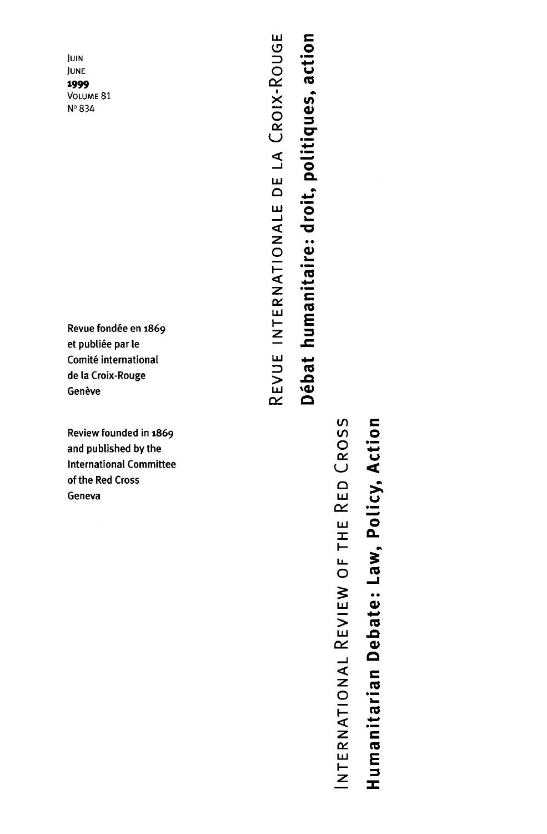JUIN JUNE 1999 VOLUME 81 Nº 834

Revue fondée en 1869 et publiée par le Comité international de la Croix-Rouge Genève

Review founded in 1869 and published by the **International Committee** of the Red Cross Geneva

REVUE INTERNATIONALE DE LA CROIX-ROUGE Débat humanitaire: droit, politiques, action

INTERNATIONAL REVIEW OF THE RED CROSS

Humanitarian Debate: Law, Policy, Action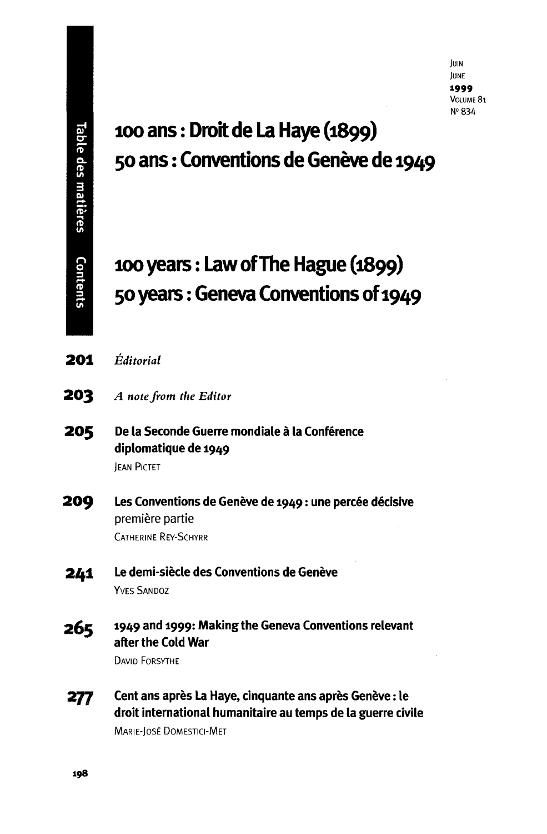# **ioo ans: Droit de La Haye (1899) 50 ans: Conventions de Geneve de 1949**

# **100 years: Law of The Hague (1899) 50 years: Geneva Conventions of 1949**

- **2 0 1** *Editorial*
- **2 0 3** *A note from the Editor*
- **205** De la Seconde Guerre mondiale à la Conférence diplomatique de 1949 JEAN PICTET

**209** Les Conventions de Genève de 1949 : une percée décisive premiere partie CATHERINE REY-SCHYRR

- 241 Le demi-siècle des Conventions de Genève YVES SANDOZ
- 265 1949 and 1999: Making the Geneva Conventions relevan after the Cold War

DAVID FORSYTHE

277 Cent ans après La Haye, cinquante ans après Genève : le droit international humanitaire au temps de la guerre civile MARIE-JOSE DOMESTICI-MET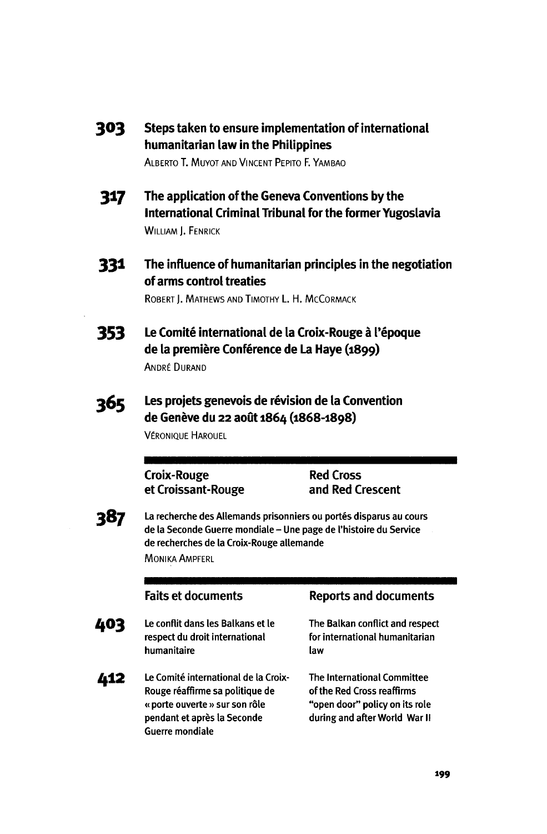| 303 | Steps taken to ensure implementation of international |
|-----|-------------------------------------------------------|
|     | humanitarian law in the Philippines                   |

ALBERTO T. MUYOT AND VINCENT PEPITO F. YAMBAO

- **3 1 7 Tn<sup>e</sup> application of the Geneva Conventions by the International Criminal Tribunal for the former Yugoslavia** WILLIAM I. FENRICK
- 331 **The influence of humanitarian principles in the negotiation of arms control treaties**

ROBERT J. MATHEWS AND TIMOTHY L. H. MCCORMACK

- **353 Comite international de la Croix-Rouge a I'epoque de la premiere Conference de La Haye (1899)** ANDRE DURAND
- 365 **1-es projets genevois de revision de la Convention de Geneve du 22 aout 1864 (1868-1898)**

VERONIQUE HAROUEL

**Croix-Rouge Red Cross**

**et Croissant-Rouge and Red Crescent**

387

La recherche des Allemands prisonniers ou portés disparus au cours de la Seconde Guerre mondiale - Une page de l'histoire du Service de recherches de la Croix-Rouge allemande MONIKA AMPFERL

- 403 Le conflit dans les Balkans et le The Balkan conflict and respect respect du droit international for international humanitarian humanitaire law
- 412 Le Comité international de la Croix- The International Committee Rouge réaffirme sa politique de of the Red Cross reaffirms « porte ouverte » sur son rôle "open door" policy on its role pendant et après la Seconde during and after World War II Guerre mondiale

#### **Faits et documents Reports and documents**